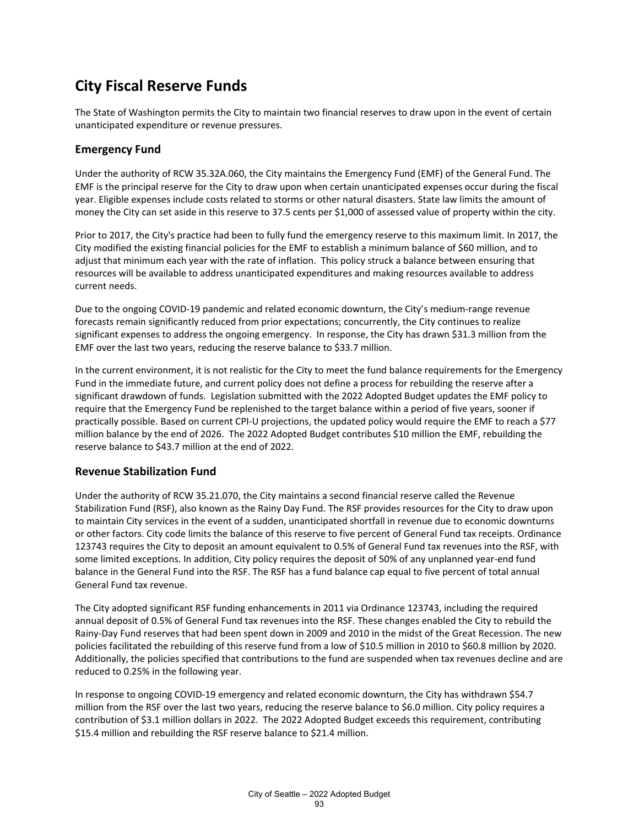## **City Fiscal Reserve Funds**

The State of Washington permits the City to maintain two financial reserves to draw upon in the event of certain unanticipated expenditure or revenue pressures.

## **Emergency Fund**

Under the authority of RCW 35.32A.060, the City maintains the Emergency Fund (EMF) of the General Fund. The EMF is the principal reserve for the City to draw upon when certain unanticipated expenses occur during the fiscal year. Eligible expenses include costs related to storms or other natural disasters. State law limits the amount of money the City can set aside in this reserve to 37.5 cents per \$1,000 of assessed value of property within the city.

Prior to 2017, the City's practice had been to fully fund the emergency reserve to this maximum limit. In 2017, the City modified the existing financial policies for the EMF to establish a minimum balance of \$60 million, and to adjust that minimum each year with the rate of inflation. This policy struck a balance between ensuring that resources will be available to address unanticipated expenditures and making resources available to address current needs.

Due to the ongoing COVID-19 pandemic and related economic downturn, the City's medium-range revenue forecasts remain significantly reduced from prior expectations; concurrently, the City continues to realize significant expenses to address the ongoing emergency. In response, the City has drawn \$31.3 million from the EMF over the last two years, reducing the reserve balance to \$33.7 million.

In the current environment, it is not realistic for the City to meet the fund balance requirements for the Emergency Fund in the immediate future, and current policy does not define a process for rebuilding the reserve after a significant drawdown of funds. Legislation submitted with the 2022 Adopted Budget updates the EMF policy to require that the Emergency Fund be replenished to the target balance within a period of five years, sooner if practically possible. Based on current CPI-U projections, the updated policy would require the EMF to reach a \$77 million balance by the end of 2026. The 2022 Adopted Budget contributes \$10 million the EMF, rebuilding the reserve balance to \$43.7 million at the end of 2022.

## **Revenue Stabilization Fund**

Under the authority of RCW 35.21.070, the City maintains a second financial reserve called the Revenue Stabilization Fund (RSF), also known as the Rainy Day Fund. The RSF provides resources for the City to draw upon to maintain City services in the event of a sudden, unanticipated shortfall in revenue due to economic downturns or other factors. City code limits the balance of this reserve to five percent of General Fund tax receipts. Ordinance 123743 requires the City to deposit an amount equivalent to 0.5% of General Fund tax revenues into the RSF, with some limited exceptions. In addition, City policy requires the deposit of 50% of any unplanned year-end fund balance in the General Fund into the RSF. The RSF has a fund balance cap equal to five percent of total annual General Fund tax revenue.

The City adopted significant RSF funding enhancements in 2011 via Ordinance 123743, including the required annual deposit of 0.5% of General Fund tax revenues into the RSF. These changes enabled the City to rebuild the Rainy-Day Fund reserves that had been spent down in 2009 and 2010 in the midst of the Great Recession. The new policies facilitated the rebuilding of this reserve fund from a low of \$10.5 million in 2010 to \$60.8 million by 2020. Additionally, the policies specified that contributions to the fund are suspended when tax revenues decline and are reduced to 0.25% in the following year.

In response to ongoing COVID-19 emergency and related economic downturn, the City has withdrawn \$54.7 million from the RSF over the last two years, reducing the reserve balance to \$6.0 million. City policy requires a contribution of \$3.1 million dollars in 2022. The 2022 Adopted Budget exceeds this requirement, contributing \$15.4 million and rebuilding the RSF reserve balance to \$21.4 million.